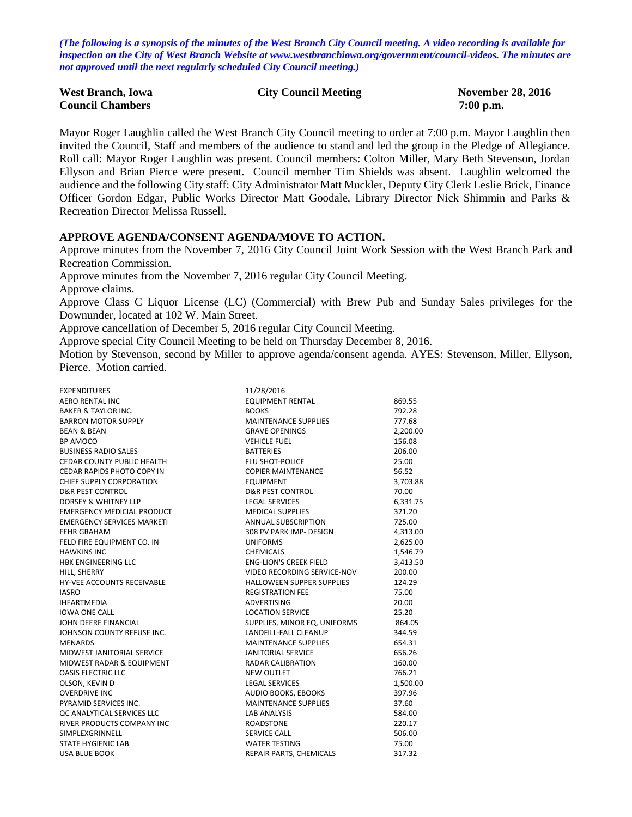*(The following is a synopsis of the minutes of the West Branch City Council meeting. A video recording is available for inspection on the City of West Branch Website at [www.westbranchiowa.org/government/council-videos.](http://www.westbranchiowa.org/government/council-videos) The minutes are not approved until the next regularly scheduled City Council meeting.)*

| <b>West Branch, Iowa</b> | <b>City Council Meeting</b> | <b>November 28, 2016</b> |
|--------------------------|-----------------------------|--------------------------|
| <b>Council Chambers</b>  |                             | $7:00$ p.m.              |

Mayor Roger Laughlin called the West Branch City Council meeting to order at 7:00 p.m. Mayor Laughlin then invited the Council, Staff and members of the audience to stand and led the group in the Pledge of Allegiance. Roll call: Mayor Roger Laughlin was present. Council members: Colton Miller, Mary Beth Stevenson, Jordan Ellyson and Brian Pierce were present. Council member Tim Shields was absent. Laughlin welcomed the audience and the following City staff: City Administrator Matt Muckler, Deputy City Clerk Leslie Brick, Finance Officer Gordon Edgar, Public Works Director Matt Goodale, Library Director Nick Shimmin and Parks & Recreation Director Melissa Russell.

#### **APPROVE AGENDA/CONSENT AGENDA/MOVE TO ACTION.**

Approve minutes from the November 7, 2016 City Council Joint Work Session with the West Branch Park and Recreation Commission.

Approve minutes from the November 7, 2016 regular City Council Meeting.

Approve claims.

Approve Class C Liquor License (LC) (Commercial) with Brew Pub and Sunday Sales privileges for the Downunder, located at 102 W. Main Street.

Approve cancellation of December 5, 2016 regular City Council Meeting.

Approve special City Council Meeting to be held on Thursday December 8, 2016.

Motion by Stevenson, second by Miller to approve agenda/consent agenda. AYES: Stevenson, Miller, Ellyson, Pierce. Motion carried.

| <b>EXPENDITURES</b>               | 11/28/2016                       |          |
|-----------------------------------|----------------------------------|----------|
| AERO RENTAL INC                   | <b>EQUIPMENT RENTAL</b>          | 869.55   |
| <b>BAKER &amp; TAYLOR INC.</b>    | <b>BOOKS</b>                     | 792.28   |
| <b>BARRON MOTOR SUPPLY</b>        | <b>MAINTENANCE SUPPLIES</b>      | 777.68   |
| <b>BEAN &amp; BEAN</b>            | <b>GRAVE OPENINGS</b>            | 2,200.00 |
| <b>BP AMOCO</b>                   | <b>VEHICLE FUEL</b>              | 156.08   |
| <b>BUSINESS RADIO SALES</b>       | <b>BATTERIES</b>                 | 206.00   |
| CEDAR COUNTY PUBLIC HEALTH        | <b>FLU SHOT-POLICE</b>           | 25.00    |
| CEDAR RAPIDS PHOTO COPY IN        | <b>COPIER MAINTENANCE</b>        | 56.52    |
| <b>CHIEF SUPPLY CORPORATION</b>   | <b>EQUIPMENT</b>                 | 3,703.88 |
| <b>D&amp;R PEST CONTROL</b>       | <b>D&amp;R PEST CONTROL</b>      | 70.00    |
| <b>DORSEY &amp; WHITNEY LLP</b>   | <b>LEGAL SERVICES</b>            | 6,331.75 |
| <b>EMERGENCY MEDICIAL PRODUCT</b> | <b>MEDICAL SUPPLIES</b>          | 321.20   |
| <b>EMERGENCY SERVICES MARKETI</b> | ANNUAL SUBSCRIPTION              | 725.00   |
| <b>FEHR GRAHAM</b>                | 308 PV PARK IMP- DESIGN          | 4,313.00 |
| FELD FIRE EQUIPMENT CO. IN        | <b>UNIFORMS</b>                  | 2,625.00 |
| <b>HAWKINS INC</b>                | <b>CHEMICALS</b>                 | 1,546.79 |
| <b>HBK ENGINEERING LLC</b>        | <b>ENG-LION'S CREEK FIELD</b>    | 3,413.50 |
| HILL, SHERRY                      | VIDEO RECORDING SERVICE-NOV      | 200.00   |
| <b>HY-VEE ACCOUNTS RECEIVABLE</b> | <b>HALLOWEEN SUPPER SUPPLIES</b> | 124.29   |
| <b>IASRO</b>                      | <b>REGISTRATION FEE</b>          | 75.00    |
| <b>IHEARTMEDIA</b>                | <b>ADVERTISING</b>               | 20.00    |
| <b>IOWA ONE CALL</b>              | <b>LOCATION SERVICE</b>          | 25.20    |
| JOHN DEERE FINANCIAL              | SUPPLIES, MINOR EQ, UNIFORMS     | 864.05   |
| JOHNSON COUNTY REFUSE INC.        | LANDFILL-FALL CLEANUP            | 344.59   |
| <b>MENARDS</b>                    | <b>MAINTENANCE SUPPLIES</b>      | 654.31   |
| MIDWEST JANITORIAL SERVICE        | <b>JANITORIAL SERVICE</b>        | 656.26   |
| MIDWEST RADAR & EQUIPMENT         | <b>RADAR CALIBRATION</b>         | 160.00   |
| <b>OASIS ELECTRIC LLC</b>         | <b>NEW OUTLET</b>                | 766.21   |
| OLSON, KEVIN D                    | <b>LEGAL SERVICES</b>            | 1,500.00 |
| <b>OVERDRIVE INC</b>              | AUDIO BOOKS, EBOOKS              | 397.96   |
| PYRAMID SERVICES INC.             | <b>MAINTENANCE SUPPLIES</b>      | 37.60    |
| OC ANALYTICAL SERVICES LLC        | <b>LAB ANALYSIS</b>              | 584.00   |
| RIVER PRODUCTS COMPANY INC        | <b>ROADSTONE</b>                 | 220.17   |
| SIMPLEXGRINNELL                   | SERVICE CALL                     | 506.00   |
| <b>STATE HYGIENIC LAB</b>         | <b>WATER TESTING</b>             | 75.00    |
| <b>USA BLUE BOOK</b>              | REPAIR PARTS, CHEMICALS          | 317.32   |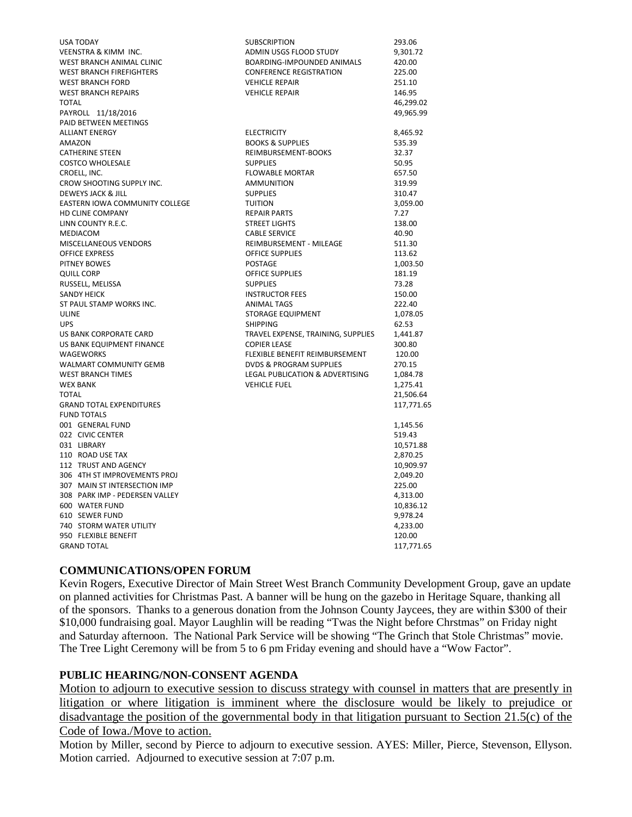| <b>USA TODAY</b>                | <b>SUBSCRIPTION</b>                | 293.06              |
|---------------------------------|------------------------------------|---------------------|
| <b>VEENSTRA &amp; KIMM INC.</b> | ADMIN USGS FLOOD STUDY             | 9,301.72            |
| WEST BRANCH ANIMAL CLINIC       | BOARDING-IMPOUNDED ANIMALS         | 420.00              |
| <b>WEST BRANCH FIREFIGHTERS</b> | <b>CONFERENCE REGISTRATION</b>     | 225.00              |
| <b>WEST BRANCH FORD</b>         | <b>VEHICLE REPAIR</b>              | 251.10              |
| <b>WEST BRANCH REPAIRS</b>      | <b>VEHICLE REPAIR</b>              | 146.95              |
| <b>TOTAL</b>                    |                                    | 46,299.02           |
| PAYROLL 11/18/2016              |                                    | 49,965.99           |
| <b>PAID BETWEEN MEETINGS</b>    |                                    |                     |
| <b>ALLIANT ENERGY</b>           | <b>ELECTRICITY</b>                 | 8,465.92            |
| <b>AMAZON</b>                   | <b>BOOKS &amp; SUPPLIES</b>        | 535.39              |
| <b>CATHERINE STEEN</b>          | REIMBURSEMENT-BOOKS                | 32.37               |
| <b>COSTCO WHOLESALE</b>         | <b>SUPPLIES</b>                    | 50.95               |
| CROELL, INC.                    | <b>FLOWABLE MORTAR</b>             | 657.50              |
| CROW SHOOTING SUPPLY INC.       | <b>AMMUNITION</b>                  | 319.99              |
| DEWEYS JACK & JILL              | <b>SUPPLIES</b>                    | 310.47              |
| EASTERN IOWA COMMUNITY COLLEGE  | <b>TUITION</b>                     | 3,059.00            |
| <b>HD CLINE COMPANY</b>         | <b>REPAIR PARTS</b>                | 7.27                |
| LINN COUNTY R.E.C.              | <b>STREET LIGHTS</b>               | 138.00              |
| MEDIACOM                        | <b>CABLE SERVICE</b>               | 40.90               |
| MISCELLANEOUS VENDORS           | REIMBURSEMENT - MILEAGE            | 511.30              |
| <b>OFFICE EXPRESS</b>           | <b>OFFICE SUPPLIES</b>             | 113.62              |
| PITNEY BOWES                    | <b>POSTAGE</b>                     | 1,003.50            |
| <b>QUILL CORP</b>               | <b>OFFICE SUPPLIES</b>             | 181.19              |
| RUSSELL, MELISSA                | <b>SUPPLIES</b>                    | 73.28               |
| <b>SANDY HEICK</b>              | <b>INSTRUCTOR FEES</b>             | 150.00              |
| ST PAUL STAMP WORKS INC.        | <b>ANIMAL TAGS</b>                 | 222.40              |
| ULINE                           | <b>STORAGE EQUIPMENT</b>           | 1,078.05            |
| <b>UPS</b>                      | <b>SHIPPING</b>                    | 62.53               |
| US BANK CORPORATE CARD          | TRAVEL EXPENSE, TRAINING, SUPPLIES | 1,441.87            |
| US BANK EQUIPMENT FINANCE       | <b>COPIER LEASE</b>                | 300.80              |
| <b>WAGEWORKS</b>                | FLEXIBLE BENEFIT REIMBURSEMENT     | 120.00              |
| <b>WALMART COMMUNITY GEMB</b>   | <b>DVDS &amp; PROGRAM SUPPLIES</b> | 270.15              |
| <b>WEST BRANCH TIMES</b>        | LEGAL PUBLICATION & ADVERTISING    | 1,084.78            |
| <b>WEX BANK</b>                 | <b>VEHICLE FUEL</b>                | 1,275.41            |
| <b>TOTAL</b>                    |                                    | 21,506.64           |
| <b>GRAND TOTAL EXPENDITURES</b> |                                    | 117,771.65          |
| <b>FUND TOTALS</b>              |                                    |                     |
| 001 GENERAL FUND                |                                    | 1,145.56            |
| 022 CIVIC CENTER<br>031 LIBRARY |                                    | 519.43<br>10,571.88 |
| 110 ROAD USE TAX                |                                    | 2,870.25            |
| 112 TRUST AND AGENCY            |                                    | 10,909.97           |
| 306 4TH ST IMPROVEMENTS PROJ    |                                    | 2,049.20            |
| 307 MAIN ST INTERSECTION IMP    |                                    | 225.00              |
| 308 PARK IMP - PEDERSEN VALLEY  |                                    | 4,313.00            |
| 600 WATER FUND                  |                                    | 10,836.12           |
| 610 SEWER FUND                  |                                    | 9,978.24            |
| 740 STORM WATER UTILITY         |                                    | 4,233.00            |
| 950 FLEXIBLE BENEFIT            |                                    | 120.00              |
| <b>GRAND TOTAL</b>              |                                    | 117,771.65          |
|                                 |                                    |                     |

### **COMMUNICATIONS/OPEN FORUM**

Kevin Rogers, Executive Director of Main Street West Branch Community Development Group, gave an update on planned activities for Christmas Past. A banner will be hung on the gazebo in Heritage Square, thanking all of the sponsors. Thanks to a generous donation from the Johnson County Jaycees, they are within \$300 of their \$10,000 fundraising goal. Mayor Laughlin will be reading "Twas the Night before Chrstmas" on Friday night and Saturday afternoon. The National Park Service will be showing "The Grinch that Stole Christmas" movie. The Tree Light Ceremony will be from 5 to 6 pm Friday evening and should have a "Wow Factor".

### **PUBLIC HEARING/NON-CONSENT AGENDA**

Motion to adjourn to executive session to discuss strategy with counsel in matters that are presently in litigation or where litigation is imminent where the disclosure would be likely to prejudice or disadvantage the position of the governmental body in that litigation pursuant to Section 21.5(c) of the Code of Iowa./Move to action.

Motion by Miller, second by Pierce to adjourn to executive session. AYES: Miller, Pierce, Stevenson, Ellyson. Motion carried. Adjourned to executive session at 7:07 p.m.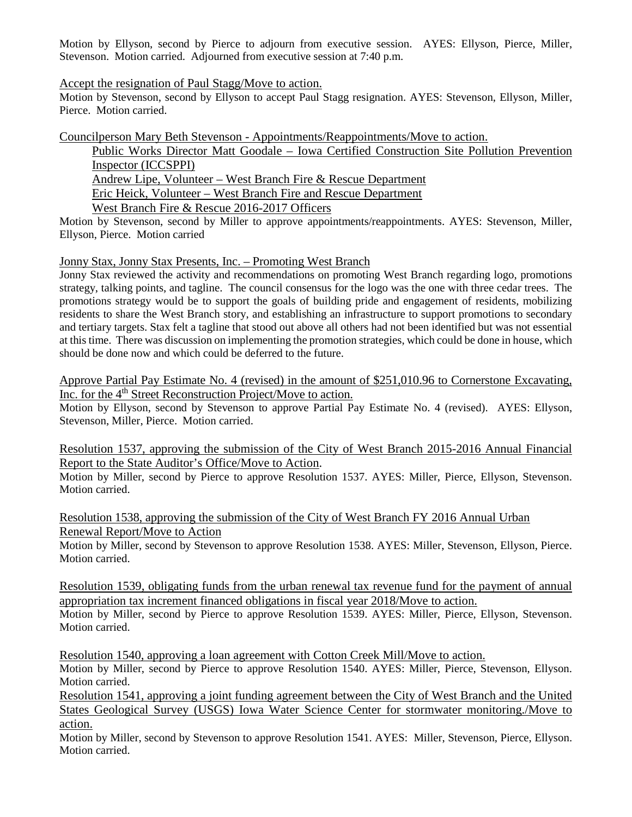Motion by Ellyson, second by Pierce to adjourn from executive session. AYES: Ellyson, Pierce, Miller, Stevenson. Motion carried. Adjourned from executive session at 7:40 p.m.

### Accept the resignation of Paul Stagg/Move to action.

Motion by Stevenson, second by Ellyson to accept Paul Stagg resignation. AYES: Stevenson, Ellyson, Miller, Pierce. Motion carried.

Councilperson Mary Beth Stevenson - Appointments/Reappointments/Move to action.

Public Works Director Matt Goodale – Iowa Certified Construction Site Pollution Prevention Inspector (ICCSPPI) Andrew Lipe, Volunteer – West Branch Fire & Rescue Department Eric Heick, Volunteer – West Branch Fire and Rescue Department

West Branch Fire & Rescue 2016-2017 Officers

Motion by Stevenson, second by Miller to approve appointments/reappointments. AYES: Stevenson, Miller, Ellyson, Pierce. Motion carried

Jonny Stax, Jonny Stax Presents, Inc. – Promoting West Branch

Jonny Stax reviewed the activity and recommendations on promoting West Branch regarding logo, promotions strategy, talking points, and tagline. The council consensus for the logo was the one with three cedar trees. The promotions strategy would be to support the goals of building pride and engagement of residents, mobilizing residents to share the West Branch story, and establishing an infrastructure to support promotions to secondary and tertiary targets. Stax felt a tagline that stood out above all others had not been identified but was not essential at this time. There was discussion on implementing the promotion strategies, which could be done in house, which should be done now and which could be deferred to the future.

Approve Partial Pay Estimate No. 4 (revised) in the amount of \$251,010.96 to Cornerstone Excavating, Inc. for the 4<sup>th</sup> Street Reconstruction Project/Move to action.

Motion by Ellyson, second by Stevenson to approve Partial Pay Estimate No. 4 (revised). AYES: Ellyson, Stevenson, Miller, Pierce. Motion carried.

Resolution 1537, approving the submission of the City of West Branch 2015-2016 Annual Financial Report to the State Auditor's Office/Move to Action.

Motion by Miller, second by Pierce to approve Resolution 1537. AYES: Miller, Pierce, Ellyson, Stevenson. Motion carried.

Resolution 1538, approving the submission of the City of West Branch FY 2016 Annual Urban Renewal Report/Move to Action

Motion by Miller, second by Stevenson to approve Resolution 1538. AYES: Miller, Stevenson, Ellyson, Pierce. Motion carried.

Resolution 1539, obligating funds from the urban renewal tax revenue fund for the payment of annual appropriation tax increment financed obligations in fiscal year 2018/Move to action.

Motion by Miller, second by Pierce to approve Resolution 1539. AYES: Miller, Pierce, Ellyson, Stevenson. Motion carried.

Resolution 1540, approving a loan agreement with Cotton Creek Mill/Move to action.

Motion by Miller, second by Pierce to approve Resolution 1540. AYES: Miller, Pierce, Stevenson, Ellyson. Motion carried.

Resolution 1541, approving a joint funding agreement between the City of West Branch and the United States Geological Survey (USGS) Iowa Water Science Center for stormwater monitoring./Move to action.

Motion by Miller, second by Stevenson to approve Resolution 1541. AYES: Miller, Stevenson, Pierce, Ellyson. Motion carried.